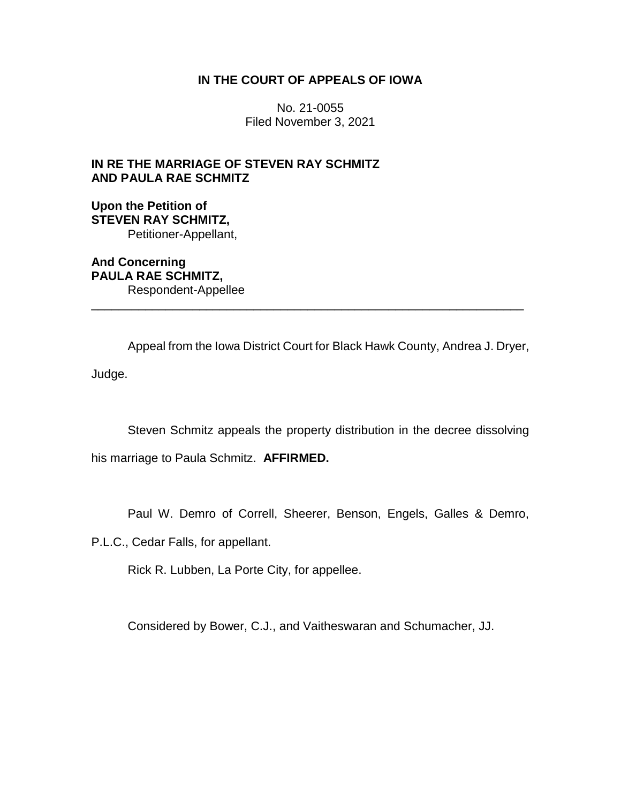## **IN THE COURT OF APPEALS OF IOWA**

No. 21-0055 Filed November 3, 2021

## **IN RE THE MARRIAGE OF STEVEN RAY SCHMITZ AND PAULA RAE SCHMITZ**

**Upon the Petition of STEVEN RAY SCHMITZ,** Petitioner-Appellant,

**And Concerning PAULA RAE SCHMITZ,** Respondent-Appellee

Appeal from the Iowa District Court for Black Hawk County, Andrea J. Dryer, Judge.

\_\_\_\_\_\_\_\_\_\_\_\_\_\_\_\_\_\_\_\_\_\_\_\_\_\_\_\_\_\_\_\_\_\_\_\_\_\_\_\_\_\_\_\_\_\_\_\_\_\_\_\_\_\_\_\_\_\_\_\_\_\_\_\_

Steven Schmitz appeals the property distribution in the decree dissolving

his marriage to Paula Schmitz. **AFFIRMED.**

Paul W. Demro of Correll, Sheerer, Benson, Engels, Galles & Demro,

P.L.C., Cedar Falls, for appellant.

Rick R. Lubben, La Porte City, for appellee.

Considered by Bower, C.J., and Vaitheswaran and Schumacher, JJ.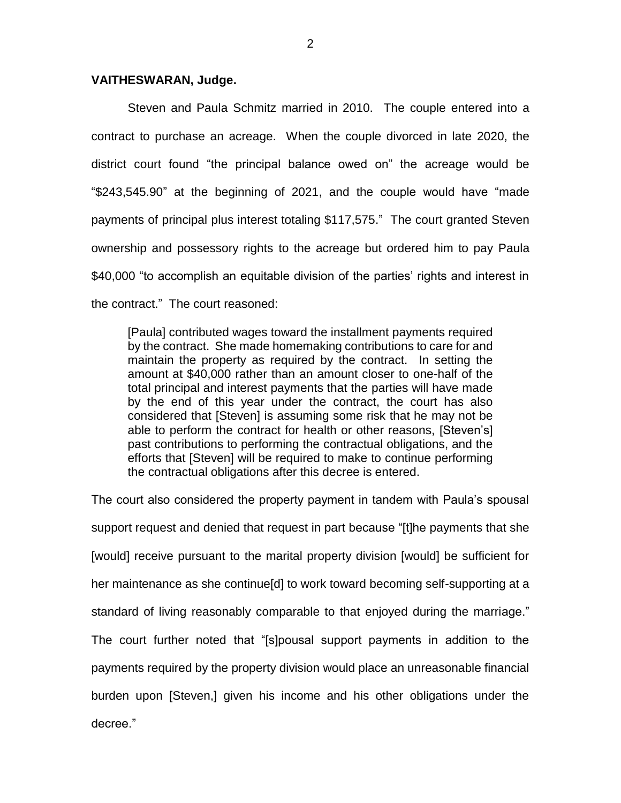## **VAITHESWARAN, Judge.**

Steven and Paula Schmitz married in 2010. The couple entered into a contract to purchase an acreage. When the couple divorced in late 2020, the district court found "the principal balance owed on" the acreage would be "\$243,545.90" at the beginning of 2021, and the couple would have "made payments of principal plus interest totaling \$117,575." The court granted Steven ownership and possessory rights to the acreage but ordered him to pay Paula \$40,000 "to accomplish an equitable division of the parties' rights and interest in the contract." The court reasoned:

[Paula] contributed wages toward the installment payments required by the contract. She made homemaking contributions to care for and maintain the property as required by the contract. In setting the amount at \$40,000 rather than an amount closer to one-half of the total principal and interest payments that the parties will have made by the end of this year under the contract, the court has also considered that [Steven] is assuming some risk that he may not be able to perform the contract for health or other reasons, [Steven's] past contributions to performing the contractual obligations, and the efforts that [Steven] will be required to make to continue performing the contractual obligations after this decree is entered.

The court also considered the property payment in tandem with Paula's spousal support request and denied that request in part because "[t]he payments that she [would] receive pursuant to the marital property division [would] be sufficient for her maintenance as she continue[d] to work toward becoming self-supporting at a standard of living reasonably comparable to that enjoyed during the marriage." The court further noted that "[s]pousal support payments in addition to the payments required by the property division would place an unreasonable financial burden upon [Steven,] given his income and his other obligations under the decree."